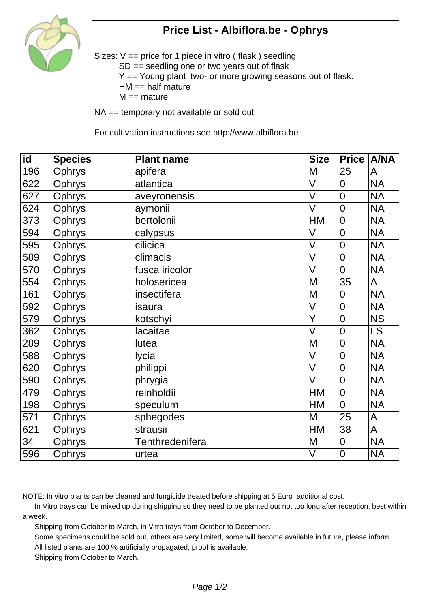

## **Price List - Albiflora.be - Ophrys**

Sizes: V == price for 1 piece in vitro ( flask ) seedling SD == seedling one or two years out of flask Y == Young plant two- or more growing seasons out of flask.  $HM == half matter$  $M ==$  mature

NA == temporary not available or sold out

For cultivation instructions see http://www.albiflora.be

| id  | <b>Species</b> | <b>Plant name</b> | <b>Size</b> | <b>Price</b>   | <b>A/NA</b> |
|-----|----------------|-------------------|-------------|----------------|-------------|
| 196 | Ophrys         | apifera           | M           | 25             | A           |
| 622 | Ophrys         | atlantica         | V           | $\overline{0}$ | <b>NA</b>   |
| 627 | Ophrys         | aveyronensis      | V           | $\overline{0}$ | <b>NA</b>   |
| 624 | Ophrys         | aymonii           | V           | $\overline{0}$ | <b>NA</b>   |
| 373 | Ophrys         | bertolonii        | <b>HM</b>   | $\overline{0}$ | <b>NA</b>   |
| 594 | Ophrys         | calypsus          | V           | 0              | <b>NA</b>   |
| 595 | <b>Ophrys</b>  | cilicica          | V           | $\overline{0}$ | <b>NA</b>   |
| 589 | Ophrys         | climacis          | V           | $\overline{0}$ | <b>NA</b>   |
| 570 | Ophrys         | fusca iricolor    | V           | 0              | <b>NA</b>   |
| 554 | Ophrys         | holosericea       | M           | 35             | A           |
| 161 | Ophrys         | insectifera       | M           | 0              | <b>NA</b>   |
| 592 | Ophrys         | isaura            | V           | $\overline{0}$ | <b>NA</b>   |
| 579 | Ophrys         | kotschyi          | Ý           | $\overline{0}$ | <b>NS</b>   |
| 362 | Ophrys         | lacaitae          | V           | $\overline{0}$ | <b>LS</b>   |
| 289 | Ophrys         | lutea             | M           | $\overline{0}$ | <b>NA</b>   |
| 588 | Ophrys         | lycia             | V           | $\overline{0}$ | <b>NA</b>   |
| 620 | Ophrys         | philippi          | V           | $\overline{0}$ | <b>NA</b>   |
| 590 | Ophrys         | phrygia           | V           | $\overline{0}$ | <b>NA</b>   |
| 479 | Ophrys         | reinholdii        | <b>HM</b>   | $\overline{0}$ | <b>NA</b>   |
| 198 | Ophrys         | speculum          | <b>HM</b>   | 0              | <b>NA</b>   |
| 571 | Ophrys         | sphegodes         | M           | 25             | A           |
| 621 | Ophrys         | strausii          | <b>HM</b>   | 38             | A           |
| 34  | Ophrys         | Tenthredenifera   | M           | $\overline{0}$ | <b>NA</b>   |
| 596 | Ophrys         | urtea             | $\vee$      | $\overline{0}$ | <b>NA</b>   |

NOTE: In vitro plants can be cleaned and fungicide treated before shipping at 5 Euro additional cost.

 In Vitro trays can be mixed up during shipping so they need to be planted out not too long after reception, best within a week.

Shipping from October to March, in Vitro trays from October to December.

Some specimens could be sold out, others are very limited, some will become available in future, please inform .

All listed plants are 100 % artificially propagated, proof is available.

Shipping from October to March.